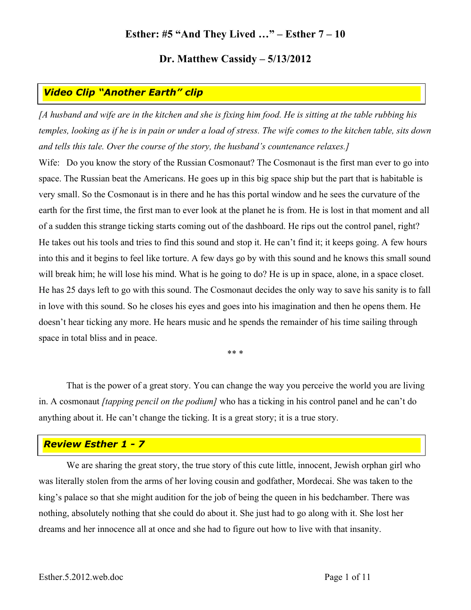## **Esther: #5 "And They Lived …" – Esther 7 – 10**

### **Dr. Matthew Cassidy – 5/13/2012**

# *Video Clip "Another Earth" clip*

*[A husband and wife are in the kitchen and she is fixing him food. He is sitting at the table rubbing his temples, looking as if he is in pain or under a load of stress. The wife comes to the kitchen table, sits down and tells this tale. Over the course of the story, the husband's countenance relaxes.]*

Wife: Do you know the story of the Russian Cosmonaut? The Cosmonaut is the first man ever to go into space. The Russian beat the Americans. He goes up in this big space ship but the part that is habitable is very small. So the Cosmonaut is in there and he has this portal window and he sees the curvature of the earth for the first time, the first man to ever look at the planet he is from. He is lost in that moment and all of a sudden this strange ticking starts coming out of the dashboard. He rips out the control panel, right? He takes out his tools and tries to find this sound and stop it. He can't find it; it keeps going. A few hours into this and it begins to feel like torture. A few days go by with this sound and he knows this small sound will break him; he will lose his mind. What is he going to do? He is up in space, alone, in a space closet. He has 25 days left to go with this sound. The Cosmonaut decides the only way to save his sanity is to fall in love with this sound. So he closes his eyes and goes into his imagination and then he opens them. He doesn't hear ticking any more. He hears music and he spends the remainder of his time sailing through space in total bliss and in peace.

\*\* \*

That is the power of a great story. You can change the way you perceive the world you are living in. A cosmonaut *[tapping pencil on the podium]* who has a ticking in his control panel and he can't do anything about it. He can't change the ticking. It is a great story; it is a true story.

# *Review Esther 1 - 7*

We are sharing the great story, the true story of this cute little, innocent, Jewish orphan girl who was literally stolen from the arms of her loving cousin and godfather, Mordecai. She was taken to the king's palace so that she might audition for the job of being the queen in his bedchamber. There was nothing, absolutely nothing that she could do about it. She just had to go along with it. She lost her dreams and her innocence all at once and she had to figure out how to live with that insanity.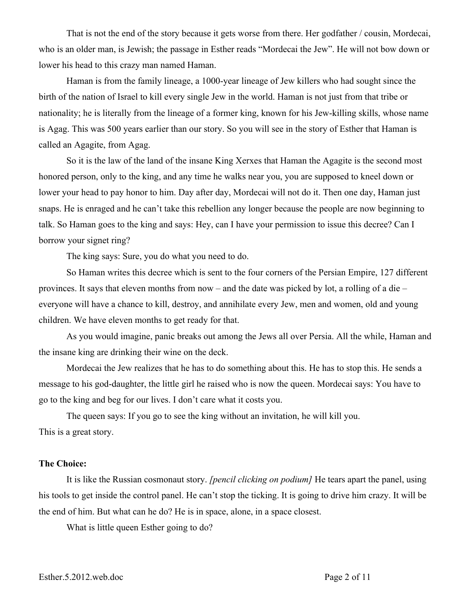That is not the end of the story because it gets worse from there. Her godfather / cousin, Mordecai, who is an older man, is Jewish; the passage in Esther reads "Mordecai the Jew". He will not bow down or lower his head to this crazy man named Haman.

Haman is from the family lineage, a 1000-year lineage of Jew killers who had sought since the birth of the nation of Israel to kill every single Jew in the world. Haman is not just from that tribe or nationality; he is literally from the lineage of a former king, known for his Jew-killing skills, whose name is Agag. This was 500 years earlier than our story. So you will see in the story of Esther that Haman is called an Agagite, from Agag.

So it is the law of the land of the insane King Xerxes that Haman the Agagite is the second most honored person, only to the king, and any time he walks near you, you are supposed to kneel down or lower your head to pay honor to him. Day after day, Mordecai will not do it. Then one day, Haman just snaps. He is enraged and he can't take this rebellion any longer because the people are now beginning to talk. So Haman goes to the king and says: Hey, can I have your permission to issue this decree? Can I borrow your signet ring?

The king says: Sure, you do what you need to do.

So Haman writes this decree which is sent to the four corners of the Persian Empire, 127 different provinces. It says that eleven months from now – and the date was picked by lot, a rolling of a die – everyone will have a chance to kill, destroy, and annihilate every Jew, men and women, old and young children. We have eleven months to get ready for that.

As you would imagine, panic breaks out among the Jews all over Persia. All the while, Haman and the insane king are drinking their wine on the deck.

Mordecai the Jew realizes that he has to do something about this. He has to stop this. He sends a message to his god-daughter, the little girl he raised who is now the queen. Mordecai says: You have to go to the king and beg for our lives. I don't care what it costs you.

The queen says: If you go to see the king without an invitation, he will kill you. This is a great story.

#### **The Choice:**

It is like the Russian cosmonaut story. *[pencil clicking on podium]* He tears apart the panel, using his tools to get inside the control panel. He can't stop the ticking. It is going to drive him crazy. It will be the end of him. But what can he do? He is in space, alone, in a space closest.

What is little queen Esther going to do?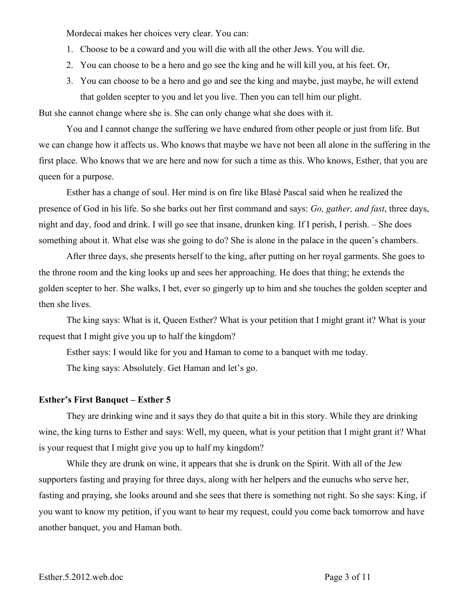Mordecai makes her choices very clear. You can:

- 1. Choose to be a coward and you will die with all the other Jews. You will die.
- 2. You can choose to be a hero and go see the king and he will kill you, at his feet. Or,
- 3. You can choose to be a hero and go and see the king and maybe, just maybe, he will extend that golden scepter to you and let you live. Then you can tell him our plight.

But she cannot change where she is. She can only change what she does with it.

You and I cannot change the suffering we have endured from other people or just from life. But we can change how it affects us. Who knows that maybe we have not been all alone in the suffering in the first place. Who knows that we are here and now for such a time as this. Who knows, Esther, that you are queen for a purpose.

Esther has a change of soul. Her mind is on fire like Blasé Pascal said when he realized the presence of God in his life. So she barks out her first command and says: *Go, gather, and fast*, three days, night and day, food and drink. I will go see that insane, drunken king. If I perish, I perish. – She does something about it. What else was she going to do? She is alone in the palace in the queen's chambers.

After three days, she presents herself to the king, after putting on her royal garments. She goes to the throne room and the king looks up and sees her approaching. He does that thing; he extends the golden scepter to her. She walks, I bet, ever so gingerly up to him and she touches the golden scepter and then she lives.

The king says: What is it, Queen Esther? What is your petition that I might grant it? What is your request that I might give you up to half the kingdom?

Esther says: I would like for you and Haman to come to a banquet with me today.

The king says: Absolutely. Get Haman and let's go.

### **Esther's First Banquet – Esther 5**

They are drinking wine and it says they do that quite a bit in this story. While they are drinking wine, the king turns to Esther and says: Well, my queen, what is your petition that I might grant it? What is your request that I might give you up to half my kingdom?

While they are drunk on wine, it appears that she is drunk on the Spirit. With all of the Jew supporters fasting and praying for three days, along with her helpers and the eunuchs who serve her, fasting and praying, she looks around and she sees that there is something not right. So she says: King, if you want to know my petition, if you want to hear my request, could you come back tomorrow and have another banquet, you and Haman both.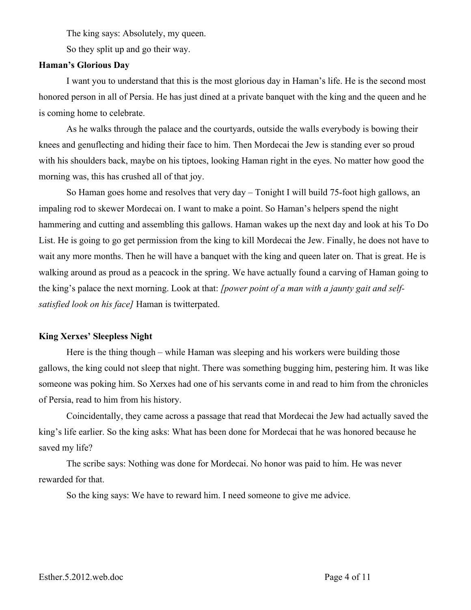The king says: Absolutely, my queen.

So they split up and go their way.

#### **Haman's Glorious Day**

I want you to understand that this is the most glorious day in Haman's life. He is the second most honored person in all of Persia. He has just dined at a private banquet with the king and the queen and he is coming home to celebrate.

As he walks through the palace and the courtyards, outside the walls everybody is bowing their knees and genuflecting and hiding their face to him. Then Mordecai the Jew is standing ever so proud with his shoulders back, maybe on his tiptoes, looking Haman right in the eyes. No matter how good the morning was, this has crushed all of that joy.

So Haman goes home and resolves that very day – Tonight I will build 75-foot high gallows, an impaling rod to skewer Mordecai on. I want to make a point. So Haman's helpers spend the night hammering and cutting and assembling this gallows. Haman wakes up the next day and look at his To Do List. He is going to go get permission from the king to kill Mordecai the Jew. Finally, he does not have to wait any more months. Then he will have a banquet with the king and queen later on. That is great. He is walking around as proud as a peacock in the spring. We have actually found a carving of Haman going to the king's palace the next morning. Look at that: *[power point of a man with a jaunty gait and selfsatisfied look on his face]* Haman is twitterpated.

#### **King Xerxes' Sleepless Night**

Here is the thing though – while Haman was sleeping and his workers were building those gallows, the king could not sleep that night. There was something bugging him, pestering him. It was like someone was poking him. So Xerxes had one of his servants come in and read to him from the chronicles of Persia, read to him from his history.

Coincidentally, they came across a passage that read that Mordecai the Jew had actually saved the king's life earlier. So the king asks: What has been done for Mordecai that he was honored because he saved my life?

The scribe says: Nothing was done for Mordecai. No honor was paid to him. He was never rewarded for that.

So the king says: We have to reward him. I need someone to give me advice.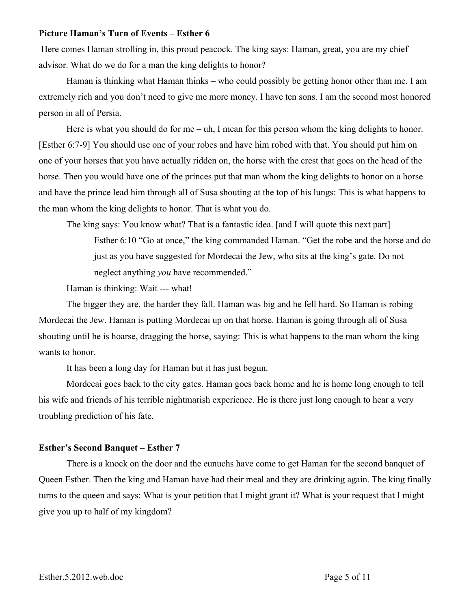#### **Picture Haman's Turn of Events – Esther 6**

Here comes Haman strolling in, this proud peacock. The king says: Haman, great, you are my chief advisor. What do we do for a man the king delights to honor?

Haman is thinking what Haman thinks – who could possibly be getting honor other than me. I am extremely rich and you don't need to give me more money. I have ten sons. I am the second most honored person in all of Persia.

Here is what you should do for me – uh, I mean for this person whom the king delights to honor. [Esther 6:7-9] You should use one of your robes and have him robed with that. You should put him on one of your horses that you have actually ridden on, the horse with the crest that goes on the head of the horse. Then you would have one of the princes put that man whom the king delights to honor on a horse and have the prince lead him through all of Susa shouting at the top of his lungs: This is what happens to the man whom the king delights to honor. That is what you do.

The king says: You know what? That is a fantastic idea. [and I will quote this next part] Esther 6:10 "Go at once," the king commanded Haman. "Get the robe and the horse and do just as you have suggested for Mordecai the Jew, who sits at the king's gate. Do not neglect anything *you* have recommended."

Haman is thinking: Wait --- what!

The bigger they are, the harder they fall. Haman was big and he fell hard. So Haman is robing Mordecai the Jew. Haman is putting Mordecai up on that horse. Haman is going through all of Susa shouting until he is hoarse, dragging the horse, saying: This is what happens to the man whom the king wants to honor.

It has been a long day for Haman but it has just begun.

Mordecai goes back to the city gates. Haman goes back home and he is home long enough to tell his wife and friends of his terrible nightmarish experience. He is there just long enough to hear a very troubling prediction of his fate.

#### **Esther's Second Banquet – Esther 7**

There is a knock on the door and the eunuchs have come to get Haman for the second banquet of Queen Esther. Then the king and Haman have had their meal and they are drinking again. The king finally turns to the queen and says: What is your petition that I might grant it? What is your request that I might give you up to half of my kingdom?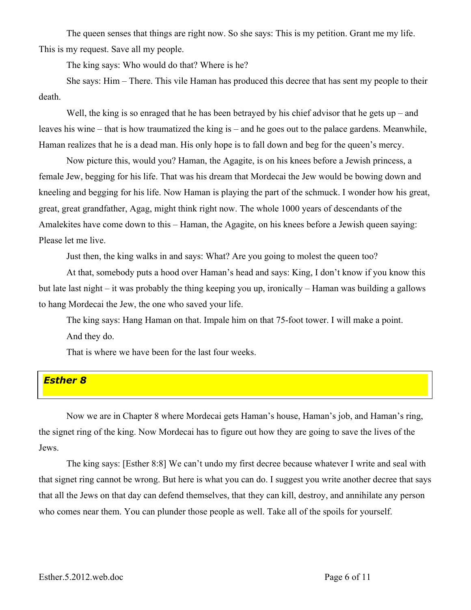The queen senses that things are right now. So she says: This is my petition. Grant me my life. This is my request. Save all my people.

The king says: Who would do that? Where is he?

She says: Him – There. This vile Haman has produced this decree that has sent my people to their death.

Well, the king is so enraged that he has been betrayed by his chief advisor that he gets  $up$  – and leaves his wine – that is how traumatized the king is – and he goes out to the palace gardens. Meanwhile, Haman realizes that he is a dead man. His only hope is to fall down and beg for the queen's mercy.

Now picture this, would you? Haman, the Agagite, is on his knees before a Jewish princess, a female Jew, begging for his life. That was his dream that Mordecai the Jew would be bowing down and kneeling and begging for his life. Now Haman is playing the part of the schmuck. I wonder how his great, great, great grandfather, Agag, might think right now. The whole 1000 years of descendants of the Amalekites have come down to this – Haman, the Agagite, on his knees before a Jewish queen saying: Please let me live.

Just then, the king walks in and says: What? Are you going to molest the queen too?

At that, somebody puts a hood over Haman's head and says: King, I don't know if you know this but late last night – it was probably the thing keeping you up, ironically – Haman was building a gallows to hang Mordecai the Jew, the one who saved your life.

The king says: Hang Haman on that. Impale him on that 75-foot tower. I will make a point. And they do.

That is where we have been for the last four weeks.

# *Esther 8*

Now we are in Chapter 8 where Mordecai gets Haman's house, Haman's job, and Haman's ring, the signet ring of the king. Now Mordecai has to figure out how they are going to save the lives of the Jews.

The king says: [Esther 8:8] We can't undo my first decree because whatever I write and seal with that signet ring cannot be wrong. But here is what you can do. I suggest you write another decree that says that all the Jews on that day can defend themselves, that they can kill, destroy, and annihilate any person who comes near them. You can plunder those people as well. Take all of the spoils for yourself.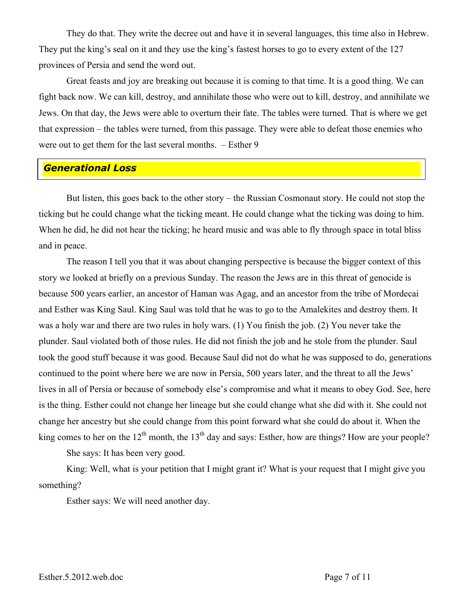They do that. They write the decree out and have it in several languages, this time also in Hebrew. They put the king's seal on it and they use the king's fastest horses to go to every extent of the 127 provinces of Persia and send the word out.

Great feasts and joy are breaking out because it is coming to that time. It is a good thing. We can fight back now. We can kill, destroy, and annihilate those who were out to kill, destroy, and annihilate we Jews. On that day, the Jews were able to overturn their fate. The tables were turned. That is where we get that expression – the tables were turned, from this passage. They were able to defeat those enemies who were out to get them for the last several months. – Esther 9

### *Generational Loss*

But listen, this goes back to the other story – the Russian Cosmonaut story. He could not stop the ticking but he could change what the ticking meant. He could change what the ticking was doing to him. When he did, he did not hear the ticking; he heard music and was able to fly through space in total bliss and in peace.

The reason I tell you that it was about changing perspective is because the bigger context of this story we looked at briefly on a previous Sunday. The reason the Jews are in this threat of genocide is because 500 years earlier, an ancestor of Haman was Agag, and an ancestor from the tribe of Mordecai and Esther was King Saul. King Saul was told that he was to go to the Amalekites and destroy them. It was a holy war and there are two rules in holy wars. (1) You finish the job. (2) You never take the plunder. Saul violated both of those rules. He did not finish the job and he stole from the plunder. Saul took the good stuff because it was good. Because Saul did not do what he was supposed to do, generations continued to the point where here we are now in Persia, 500 years later, and the threat to all the Jews' lives in all of Persia or because of somebody else's compromise and what it means to obey God. See, here is the thing. Esther could not change her lineage but she could change what she did with it. She could not change her ancestry but she could change from this point forward what she could do about it. When the king comes to her on the  $12<sup>th</sup>$  month, the  $13<sup>th</sup>$  day and says: Esther, how are things? How are your people?

She says: It has been very good.

King: Well, what is your petition that I might grant it? What is your request that I might give you something?

Esther says: We will need another day.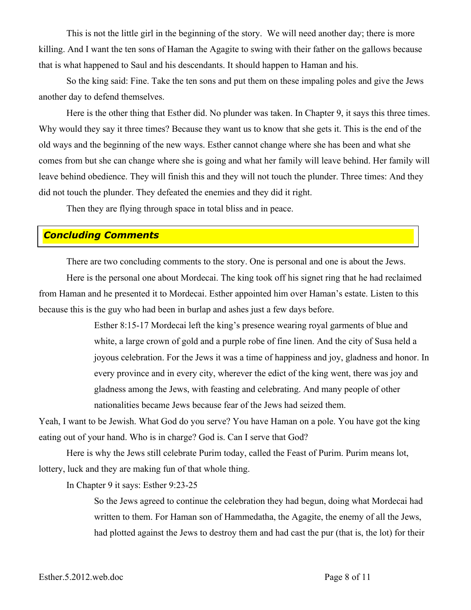This is not the little girl in the beginning of the story. We will need another day; there is more killing. And I want the ten sons of Haman the Agagite to swing with their father on the gallows because that is what happened to Saul and his descendants. It should happen to Haman and his.

So the king said: Fine. Take the ten sons and put them on these impaling poles and give the Jews another day to defend themselves.

Here is the other thing that Esther did. No plunder was taken. In Chapter 9, it says this three times. Why would they say it three times? Because they want us to know that she gets it. This is the end of the old ways and the beginning of the new ways. Esther cannot change where she has been and what she comes from but she can change where she is going and what her family will leave behind. Her family will leave behind obedience. They will finish this and they will not touch the plunder. Three times: And they did not touch the plunder. They defeated the enemies and they did it right.

Then they are flying through space in total bliss and in peace.

# *Concluding Comments*

There are two concluding comments to the story. One is personal and one is about the Jews.

Here is the personal one about Mordecai. The king took off his signet ring that he had reclaimed from Haman and he presented it to Mordecai. Esther appointed him over Haman's estate. Listen to this because this is the guy who had been in burlap and ashes just a few days before.

> Esther 8:15-17 Mordecai left the king's presence wearing royal garments of blue and white, a large crown of gold and a purple robe of fine linen. And the city of Susa held a joyous celebration. For the Jews it was a time of happiness and joy, gladness and honor. In every province and in every city, wherever the edict of the king went, there was joy and gladness among the Jews, with feasting and celebrating. And many people of other nationalities became Jews because fear of the Jews had seized them.

Yeah, I want to be Jewish. What God do you serve? You have Haman on a pole. You have got the king eating out of your hand. Who is in charge? God is. Can I serve that God?

Here is why the Jews still celebrate Purim today, called the Feast of Purim. Purim means lot, lottery, luck and they are making fun of that whole thing.

In Chapter 9 it says: Esther 9:23-25

So the Jews agreed to continue the celebration they had begun, doing what Mordecai had written to them. For Haman son of Hammedatha, the Agagite, the enemy of all the Jews, had plotted against the Jews to destroy them and had cast the pur (that is, the lot) for their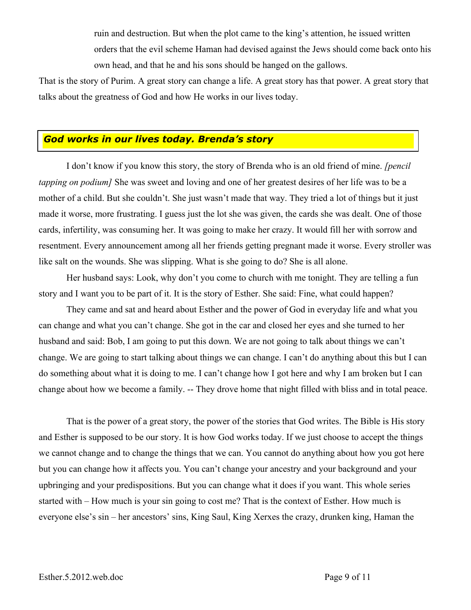ruin and destruction. But when the plot came to the king's attention, he issued written orders that the evil scheme Haman had devised against the Jews should come back onto his own head, and that he and his sons should be hanged on the gallows.

That is the story of Purim. A great story can change a life. A great story has that power. A great story that talks about the greatness of God and how He works in our lives today.

### *God works in our lives today. Brenda's story*

I don't know if you know this story, the story of Brenda who is an old friend of mine. *[pencil tapping on podium]* She was sweet and loving and one of her greatest desires of her life was to be a mother of a child. But she couldn't. She just wasn't made that way. They tried a lot of things but it just made it worse, more frustrating. I guess just the lot she was given, the cards she was dealt. One of those cards, infertility, was consuming her. It was going to make her crazy. It would fill her with sorrow and resentment. Every announcement among all her friends getting pregnant made it worse. Every stroller was like salt on the wounds. She was slipping. What is she going to do? She is all alone.

Her husband says: Look, why don't you come to church with me tonight. They are telling a fun story and I want you to be part of it. It is the story of Esther. She said: Fine, what could happen?

They came and sat and heard about Esther and the power of God in everyday life and what you can change and what you can't change. She got in the car and closed her eyes and she turned to her husband and said: Bob, I am going to put this down. We are not going to talk about things we can't change. We are going to start talking about things we can change. I can't do anything about this but I can do something about what it is doing to me. I can't change how I got here and why I am broken but I can change about how we become a family. -- They drove home that night filled with bliss and in total peace.

That is the power of a great story, the power of the stories that God writes. The Bible is His story and Esther is supposed to be our story. It is how God works today. If we just choose to accept the things we cannot change and to change the things that we can. You cannot do anything about how you got here but you can change how it affects you. You can't change your ancestry and your background and your upbringing and your predispositions. But you can change what it does if you want. This whole series started with – How much is your sin going to cost me? That is the context of Esther. How much is everyone else's sin – her ancestors' sins, King Saul, King Xerxes the crazy, drunken king, Haman the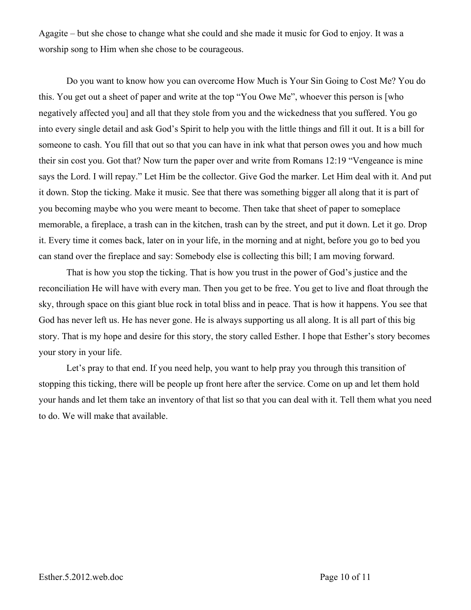Agagite – but she chose to change what she could and she made it music for God to enjoy. It was a worship song to Him when she chose to be courageous.

Do you want to know how you can overcome How Much is Your Sin Going to Cost Me? You do this. You get out a sheet of paper and write at the top "You Owe Me", whoever this person is [who negatively affected you] and all that they stole from you and the wickedness that you suffered. You go into every single detail and ask God's Spirit to help you with the little things and fill it out. It is a bill for someone to cash. You fill that out so that you can have in ink what that person owes you and how much their sin cost you. Got that? Now turn the paper over and write from Romans 12:19 "Vengeance is mine says the Lord. I will repay." Let Him be the collector. Give God the marker. Let Him deal with it. And put it down. Stop the ticking. Make it music. See that there was something bigger all along that it is part of you becoming maybe who you were meant to become. Then take that sheet of paper to someplace memorable, a fireplace, a trash can in the kitchen, trash can by the street, and put it down. Let it go. Drop it. Every time it comes back, later on in your life, in the morning and at night, before you go to bed you can stand over the fireplace and say: Somebody else is collecting this bill; I am moving forward.

That is how you stop the ticking. That is how you trust in the power of God's justice and the reconciliation He will have with every man. Then you get to be free. You get to live and float through the sky, through space on this giant blue rock in total bliss and in peace. That is how it happens. You see that God has never left us. He has never gone. He is always supporting us all along. It is all part of this big story. That is my hope and desire for this story, the story called Esther. I hope that Esther's story becomes your story in your life.

Let's pray to that end. If you need help, you want to help pray you through this transition of stopping this ticking, there will be people up front here after the service. Come on up and let them hold your hands and let them take an inventory of that list so that you can deal with it. Tell them what you need to do. We will make that available.